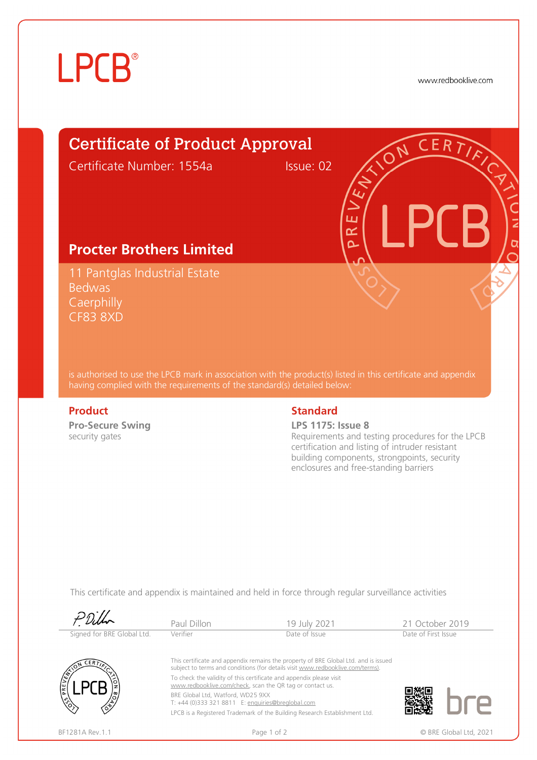# **LPCB**®

www.redbooklive.com

# Certificate of Product Approval

Certificate Number: 1554a Issue: 02

ய œ  $\overline{\Omega}$ 

## **Procter Brothers Limited**

11 Pantglas Industrial Estate Bedwas **Caerphilly** CF83 8XD

is authorised to use the LPCB mark in association with the product(s) listed in this certificate and appendix having complied with the requirements of the standard(s) detailed below:

**Pro-Secure Swing**  security gates

### **Product** Standard **Standard**

### **LPS 1175: Issue 8**

Requirements and testing procedures for the LPCB certification and listing of intruder resistant building components, strongpoints, security enclosures and free-standing barriers

This certificate and appendix is maintained and held in force through regular surveillance activities

|                            | Paul Dillon                                                                                                                                                           | 19 July 2021                                                               | 21 October 2019 |                        |
|----------------------------|-----------------------------------------------------------------------------------------------------------------------------------------------------------------------|----------------------------------------------------------------------------|-----------------|------------------------|
| Signed for BRE Global Ltd. | Verifier                                                                                                                                                              | Date of Issue                                                              |                 | Date of First Issue    |
| CERT                       | This certificate and appendix remains the property of BRE Global Ltd. and is issued<br>subject to terms and conditions (for details visit www.redbooklive.com/terms). |                                                                            |                 |                        |
| PREVENT                    | To check the validity of this certificate and appendix please visit<br>www.redbooklive.com/check, scan the QR tag or contact us.                                      |                                                                            |                 |                        |
|                            | BRE Global Ltd, Watford, WD25 9XX<br>T: +44 (0)333 321 8811 E: enquiries@breglobal.com                                                                                |                                                                            |                 |                        |
|                            |                                                                                                                                                                       | LPCB is a Registered Trademark of the Building Research Establishment Ltd. |                 |                        |
| BF1281A Rev. 1.1           | Page 1 of 2                                                                                                                                                           |                                                                            |                 | © BRE Global Ltd. 2021 |